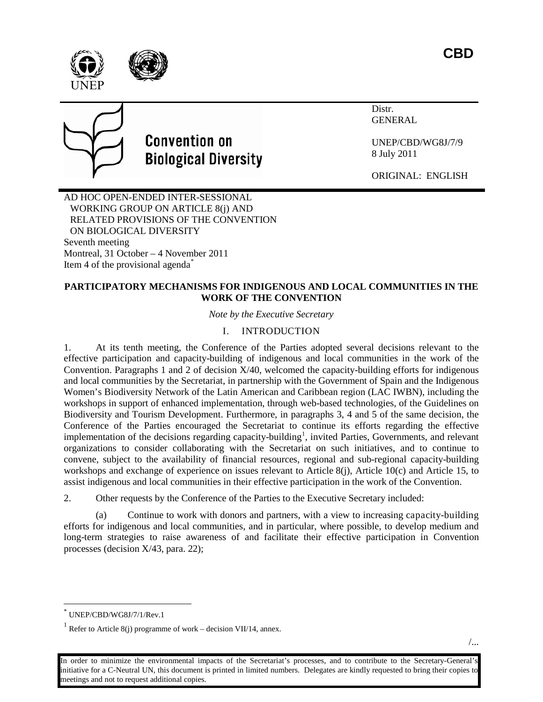



# **Convention on Biological Diversity**

Distr. GENERAL

UNEP/CBD/WG8J/7/9 8 July 2011

ORIGINAL: ENGLISH

AD HOC OPEN-ENDED INTER-SESSIONAL WORKING GROUP ON ARTICLE 8(j) AND RELATED PROVISIONS OF THE CONVENTION ON BIOLOGICAL DIVERSITY Seventh meeting Montreal, 31 October – 4 November 2011 Item 4 of the provisional agenda[\\*](#page-0-0)

# **PARTICIPATORY MECHANISMS FOR INDIGENOUS AND LOCAL COMMUNITIES IN THE WORK OF THE CONVENTION**

*Note by the Executive Secretary*

# I. INTRODUCTION

1. At its tenth meeting, the Conference of the Parties adopted several decisions relevant to the effective participation and capacity-building of indigenous and local communities in the work of the Convention. Paragraphs 1 and 2 of decision  $X/40$ , welcomed the capacity-building efforts for indigenous and local communities by the Secretariat, in partnership with the Government of Spain and the Indigenous Women's Biodiversity Network of the Latin American and Caribbean region (LAC IWBN), including the workshops in support of enhanced implementation, through web-based technologies, of the Guidelines on Biodiversity and Tourism Development. Furthermore, in paragraphs 3, 4 and 5 of the same decision, the Conference of the Parties encouraged the Secretariat to continue its efforts regarding the effective implementation of the decisions regarding capacity-building<sup>[1](#page-0-1)</sup>, invited Parties, Governments, and relevant organizations to consider collaborating with the Secretariat on such initiatives, and to continue to convene, subject to the availability of financial resources, regional and sub-regional capacity-building workshops and exchange of experience on issues relevant to Article 8(j), Article 10(c) and Article 15, to assist indigenous and local communities in their effective participation in the work of the Convention.

2. Other requests by the Conference of the Parties to the Executive Secretary included:

(a) Continue to work with donors and partners, with a view to increasing capacity-building efforts for indigenous and local communities, and in particular, where possible, to develop medium and long-term strategies to raise awareness of and facilitate their effective participation in Convention processes (decision X/43, para. 22);

<span id="page-0-0"></span>UNEP/CBD/WG8J/7/1/Rev.1

<span id="page-0-1"></span><sup>&</sup>lt;sup>1</sup> Refer to Article 8(j) programme of work – decision VII/14, annex.

In order to minimize the environmental impacts of the Secretariat's processes, and to contribute to the Secretary-General's initiative for a C-Neutral UN, this document is printed in limited numbers. Delegates are kindly requested to bring their copies to meetings and not to request additional copies.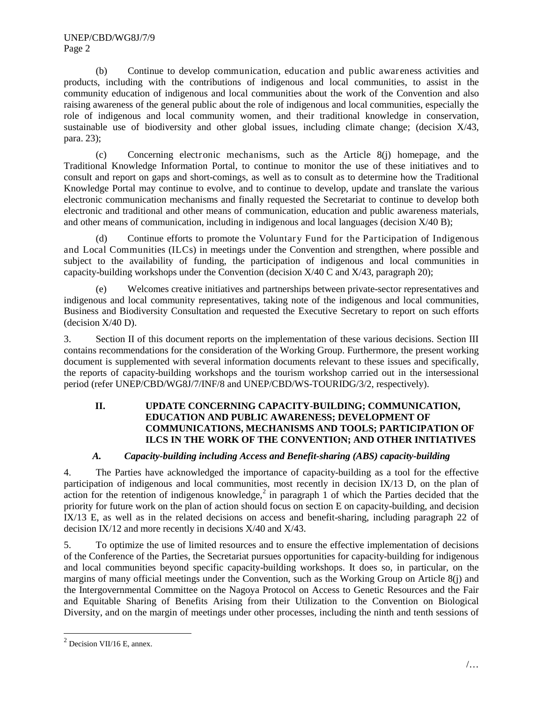UNEP/CBD/WG8J/7/9 Page 2

(b) Continue to develop communication, education and public awareness activities and products, including with the contributions of indigenous and local communities, to assist in the community education of indigenous and local communities about the work of the Convention and also raising awareness of the general public about the role of indigenous and local communities, especially the role of indigenous and local community women, and their traditional knowledge in conservation, sustainable use of biodiversity and other global issues, including climate change; (decision X/43, para. 23);

(c) Concerning electronic mechanisms, such as the Article 8(j) homepage, and the Traditional Knowledge Information Portal, to continue to monitor the use of these initiatives and to consult and report on gaps and short-comings, as well as to consult as to determine how the Traditional Knowledge Portal may continue to evolve, and to continue to develop, update and translate the various electronic communication mechanisms and finally requested the Secretariat to continue to develop both electronic and traditional and other means of communication, education and public awareness materials, and other means of communication, including in indigenous and local languages (decision  $X/40$  B);

(d) Continue efforts to promote the Voluntary Fund for the Participation of Indigenous and Local Communities (ILCs) in meetings under the Convention and strengthen, where possible and subject to the availability of funding, the participation of indigenous and local communities in capacity-building workshops under the Convention (decision  $X/40$  C and  $X/43$ , paragraph 20);

(e) Welcomes creative initiatives and partnerships between private-sector representatives and indigenous and local community representatives, taking note of the indigenous and local communities, Business and Biodiversity Consultation and requested the Executive Secretary to report on such efforts (decision X/40 D).

3. Section II of this document reports on the implementation of these various decisions. Section III contains recommendations for the consideration of the Working Group. Furthermore, the present working document is supplemented with several information documents relevant to these issues and specifically, the reports of capacity-building workshops and the tourism workshop carried out in the intersessional period (refer UNEP/CBD/WG8J/7/INF/8 and UNEP/CBD/WS-TOURIDG/3/2, respectively).

## **II. UPDATE CONCERNING CAPACITY-BUILDING; COMMUNICATION, EDUCATION AND PUBLIC AWARENESS; DEVELOPMENT OF COMMUNICATIONS, MECHANISMS AND TOOLS; PARTICIPATION OF ILCS IN THE WORK OF THE CONVENTION; AND OTHER INITIATIVES**

# *A. Capacity-building including Access and Benefit-sharing (ABS) capacity-building*

4. The Parties have acknowledged the importance of capacity-building as a tool for the effective participation of indigenous and local communities, most recently in decision IX/13 D, on the plan of action for the retention of indigenous knowledge,<sup>[2](#page-1-0)</sup> in paragraph 1 of which the Parties decided that the priority for future work on the plan of action should focus on section E on capacity-building, and decision IX/13 E, as well as in the related decisions on access and benefit-sharing, including paragraph 22 of decision IX/12 and more recently in decisions X/40 and X/43.

5. To optimize the use of limited resources and to ensure the effective implementation of decisions of the Conference of the Parties, the Secretariat pursues opportunities for capacity-building for indigenous and local communities beyond specific capacity-building workshops. It does so, in particular, on the margins of many official meetings under the Convention, such as the Working Group on Article 8(j) and the Intergovernmental Committee on the Nagoya Protocol on Access to Genetic Resources and the Fair and Equitable Sharing of Benefits Arising from their Utilization to the Convention on Biological Diversity, and on the margin of meetings under other processes, including the ninth and tenth sessions of

<span id="page-1-0"></span> $2$  Decision VII/16 E, annex.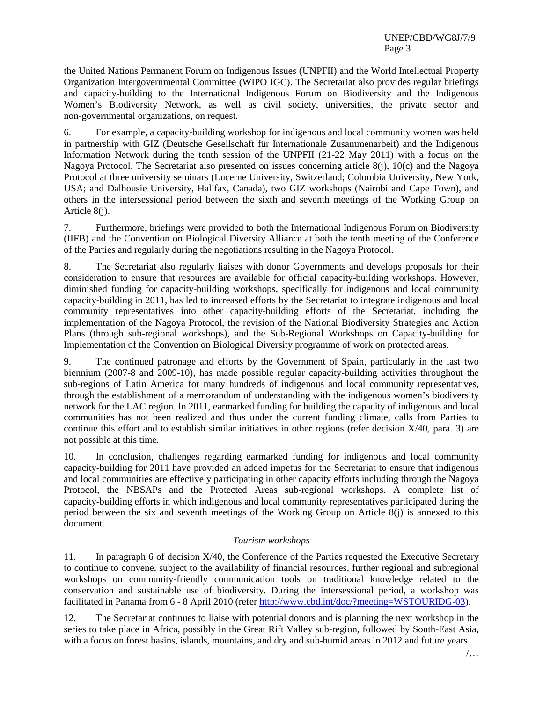the United Nations Permanent Forum on Indigenous Issues (UNPFII) and the World Intellectual Property Organization Intergovernmental Committee (WIPO IGC). The Secretariat also provides regular briefings and capacity-building to the International Indigenous Forum on Biodiversity and the Indigenous Women's Biodiversity Network, as well as civil society, universities, the private sector and non-governmental organizations, on request.

6. For example, a capacity-building workshop for indigenous and local community women was held in partnership with GIZ (Deutsche Gesellschaft für Internationale Zusammenarbeit) and the Indigenous Information Network during the tenth session of the UNPFII (21-22 May 2011) with a focus on the Nagoya Protocol. The Secretariat also presented on issues concerning article 8(j), 10(c) and the Nagoya Protocol at three university seminars (Lucerne University, Switzerland; Colombia University, New York, USA; and Dalhousie University, Halifax, Canada), two GIZ workshops (Nairobi and Cape Town), and others in the intersessional period between the sixth and seventh meetings of the Working Group on Article 8(i).

7. Furthermore, briefings were provided to both the International Indigenous Forum on Biodiversity (IIFB) and the Convention on Biological Diversity Alliance at both the tenth meeting of the Conference of the Parties and regularly during the negotiations resulting in the Nagoya Protocol.

8. The Secretariat also regularly liaises with donor Governments and develops proposals for their consideration to ensure that resources are available for official capacity-building workshops. However, diminished funding for capacity-building workshops, specifically for indigenous and local community capacity-building in 2011, has led to increased efforts by the Secretariat to integrate indigenous and local community representatives into other capacity-building efforts of the Secretariat, including the implementation of the Nagoya Protocol, the revision of the National Biodiversity Strategies and Action Plans (through sub-regional workshops), and the Sub-Regional Workshops on Capacity-building for Implementation of the Convention on Biological Diversity programme of work on protected areas.

9. The continued patronage and efforts by the Government of Spain, particularly in the last two biennium (2007-8 and 2009-10), has made possible regular capacity-building activities throughout the sub-regions of Latin America for many hundreds of indigenous and local community representatives, through the establishment of a memorandum of understanding with the indigenous women's biodiversity network for the LAC region. In 2011, earmarked funding for building the capacity of indigenous and local communities has not been realized and thus under the current funding climate, calls from Parties to continue this effort and to establish similar initiatives in other regions (refer decision  $X/40$ , para. 3) are not possible at this time.

10. In conclusion, challenges regarding earmarked funding for indigenous and local community capacity-building for 2011 have provided an added impetus for the Secretariat to ensure that indigenous and local communities are effectively participating in other capacity efforts including through the Nagoya Protocol, the NBSAPs and the Protected Areas sub-regional workshops. A complete list of capacity-building efforts in which indigenous and local community representatives participated during the period between the six and seventh meetings of the Working Group on Article 8(j) is annexed to this document.

#### *Tourism workshops*

11. In paragraph 6 of decision  $X/40$ , the Conference of the Parties requested the Executive Secretary to continue to convene, subject to the availability of financial resources, further regional and subregional workshops on community-friendly communication tools on traditional knowledge related to the conservation and sustainable use of biodiversity. During the intersessional period, a workshop was facilitated in Panama from 6 - 8 April 2010 (refer [http://www.cbd.int/doc/?meeting=WSTOURIDG-03\)](http://www.cbd.int/doc/?meeting=WSTOURIDG-03).

12. The Secretariat continues to liaise with potential donors and is planning the next workshop in the series to take place in Africa, possibly in the Great Rift Valley sub-region, followed by South-East Asia, with a focus on forest basins, islands, mountains, and dry and sub-humid areas in 2012 and future years.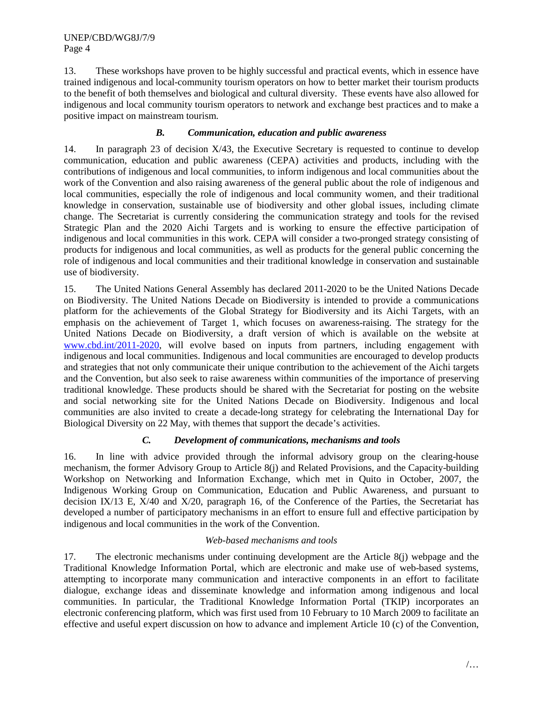13. These workshops have proven to be highly successful and practical events, which in essence have trained indigenous and local-community tourism operators on how to better market their tourism products to the benefit of both themselves and biological and cultural diversity. These events have also allowed for indigenous and local community tourism operators to network and exchange best practices and to make a positive impact on mainstream tourism.

## *B. Communication, education and public awareness*

14. In paragraph 23 of decision X/43, the Executive Secretary is requested to continue to develop communication, education and public awareness (CEPA) activities and products, including with the contributions of indigenous and local communities, to inform indigenous and local communities about the work of the Convention and also raising awareness of the general public about the role of indigenous and local communities, especially the role of indigenous and local community women, and their traditional knowledge in conservation, sustainable use of biodiversity and other global issues, including climate change. The Secretariat is currently considering the communication strategy and tools for the revised Strategic Plan and the 2020 Aichi Targets and is working to ensure the effective participation of indigenous and local communities in this work. CEPA will consider a two-pronged strategy consisting of products for indigenous and local communities, as well as products for the general public concerning the role of indigenous and local communities and their traditional knowledge in conservation and sustainable use of biodiversity.

15. The United Nations General Assembly has declared 2011-2020 to be the United Nations Decade on Biodiversity. The United Nations Decade on Biodiversity is intended to provide a communications platform for the achievements of the Global Strategy for Biodiversity and its Aichi Targets, with an emphasis on the achievement of Target 1, which focuses on awareness-raising. The strategy for the United Nations Decade on Biodiversity, a draft version of which is available on the website at [www.cbd.int/2011-2020,](http://www.cbd.int/2011-2020) will evolve based on inputs from partners, including engagement with indigenous and local communities. Indigenous and local communities are encouraged to develop products and strategies that not only communicate their unique contribution to the achievement of the Aichi targets and the Convention, but also seek to raise awareness within communities of the importance of preserving traditional knowledge. These products should be shared with the Secretariat for posting on the website and social networking site for the United Nations Decade on Biodiversity. Indigenous and local communities are also invited to create a decade-long strategy for celebrating the International Day for Biological Diversity on 22 May, with themes that support the decade's activities.

## *C. Development of communications, mechanisms and tools*

16. In line with advice provided through the informal advisory group on the clearing-house mechanism, the former Advisory Group to Article 8(j) and Related Provisions, and the Capacity-building Workshop on Networking and Information Exchange, which met in Quito in October, 2007, the Indigenous Working Group on Communication, Education and Public Awareness, and pursuant to decision IX/13 E, X/40 and X/20, paragraph 16, of the Conference of the Parties, the Secretariat has developed a number of participatory mechanisms in an effort to ensure full and effective participation by indigenous and local communities in the work of the Convention.

#### *Web-based mechanisms and tools*

17. The electronic mechanisms under continuing development are the Article 8(j) webpage and the Traditional Knowledge Information Portal, which are electronic and make use of web-based systems, attempting to incorporate many communication and interactive components in an effort to facilitate dialogue, exchange ideas and disseminate knowledge and information among indigenous and local communities. In particular, the Traditional Knowledge Information Portal (TKIP) incorporates an electronic conferencing platform, which was first used from 10 February to 10 March 2009 to facilitate an effective and useful expert discussion on how to advance and implement Article 10 (c) of the Convention,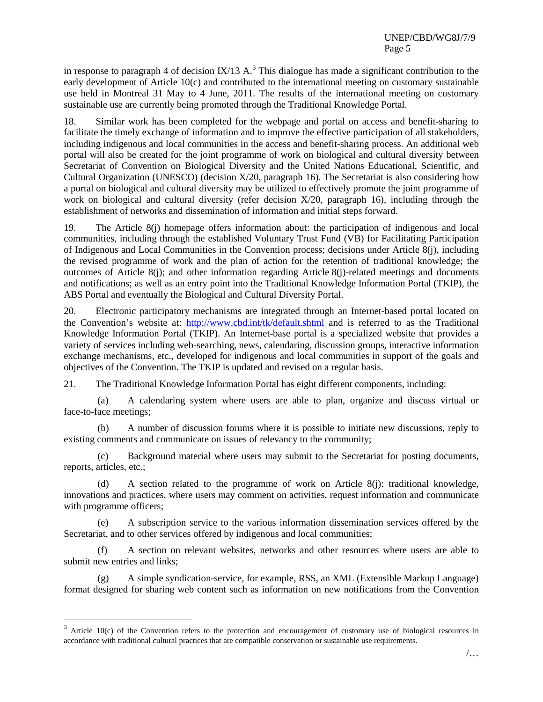in response to paragraph 4 of decision IX/1[3](#page-4-0) A.<sup>3</sup> This dialogue has made a significant contribution to the early development of Article 10(c) and contributed to the international meeting on customary sustainable use held in Montreal 31 May to 4 June, 2011. The results of the international meeting on customary sustainable use are currently being promoted through the Traditional Knowledge Portal.

18. Similar work has been completed for the webpage and portal on access and benefit-sharing to facilitate the timely exchange of information and to improve the effective participation of all stakeholders, including indigenous and local communities in the access and benefit-sharing process. An additional web portal will also be created for the joint programme of work on biological and cultural diversity between Secretariat of Convention on Biological Diversity and the United Nations Educational, Scientific, and Cultural Organization (UNESCO) (decision  $X/20$ , paragraph 16). The Secretariat is also considering how a portal on biological and cultural diversity may be utilized to effectively promote the joint programme of work on biological and cultural diversity (refer decision X/20, paragraph 16), including through the establishment of networks and dissemination of information and initial steps forward.

19. The Article 8(j) homepage offers information about: the participation of indigenous and local communities, including through the established Voluntary Trust Fund (VB) for Facilitating Participation of Indigenous and Local Communities in the Convention process; decisions under Article 8(j), including the revised programme of work and the plan of action for the retention of traditional knowledge; the outcomes of Article 8(j); and other information regarding Article 8(j)-related meetings and documents and notifications; as well as an entry point into the Traditional Knowledge Information Portal (TKIP), the ABS Portal and eventually the Biological and Cultural Diversity Portal.

20. Electronic participatory mechanisms are integrated through an Internet-based portal located on the Convention's website at: <http://www.cbd.int/tk/default.shtml> and is referred to as the Traditional Knowledge Information Portal (TKIP). An Internet-base portal is a specialized website that provides a variety of services including web-searching, news, calendaring, discussion groups, interactive information exchange mechanisms, etc., developed for indigenous and local communities in support of the goals and objectives of the Convention. The TKIP is updated and revised on a regular basis.

21. The Traditional Knowledge Information Portal has eight different components, including:

(a) A calendaring system where users are able to plan, organize and discuss virtual or face-to-face meetings;

(b) A number of discussion forums where it is possible to initiate new discussions, reply to existing comments and communicate on issues of relevancy to the community;

(c) Background material where users may submit to the Secretariat for posting documents, reports, articles, etc.;

(d) A section related to the programme of work on Article 8(j): traditional knowledge, innovations and practices, where users may comment on activities, request information and communicate with programme officers;

(e) A subscription service to the various information dissemination services offered by the Secretariat, and to other services offered by indigenous and local communities;

(f) A section on relevant websites, networks and other resources where users are able to submit new entries and links;

(g) A simple syndication-service, for example, RSS, an XML (Extensible Markup Language) format designed for sharing web content such as information on new notifications from the Convention

<span id="page-4-0"></span> $3$  Article 10(c) of the Convention refers to the protection and encouragement of customary use of biological resources in accordance with traditional cultural practices that are compatible conservation or sustainable use requirements.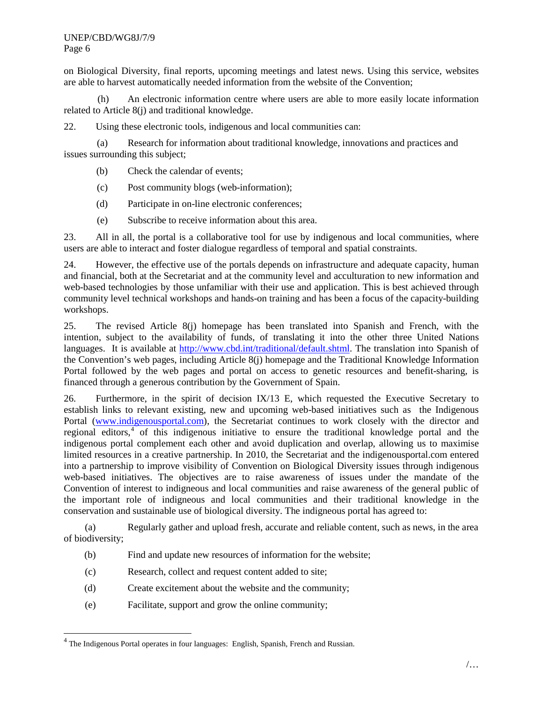#### UNEP/CBD/WG8J/7/9 Page 6

on Biological Diversity, final reports, upcoming meetings and latest news. Using this service, websites are able to harvest automatically needed information from the website of the Convention;

(h) An electronic information centre where users are able to more easily locate information related to Article 8(j) and traditional knowledge.

22. Using these electronic tools, indigenous and local communities can:

(a) Research for information about traditional knowledge, innovations and practices and issues surrounding this subject;

- (b) Check the calendar of events;
- (c) Post community blogs (web-information);
- (d) Participate in on-line electronic conferences;
- (e) Subscribe to receive information about this area.

23. All in all, the portal is a collaborative tool for use by indigenous and local communities, where users are able to interact and foster dialogue regardless of temporal and spatial constraints.

24. However, the effective use of the portals depends on infrastructure and adequate capacity, human and financial, both at the Secretariat and at the community level and acculturation to new information and web-based technologies by those unfamiliar with their use and application. This is best achieved through community level technical workshops and hands-on training and has been a focus of the capacity-building workshops.

25. The revised Article 8(j) homepage has been translated into Spanish and French, with the intention, subject to the availability of funds, of translating it into the other three United Nations languages. It is available at [http://www.cbd.int/traditional/default.shtml.](http://www.cbd.int/traditional/default.shtml) The translation into Spanish of the Convention's web pages, including Article 8(j) homepage and the Traditional Knowledge Information Portal followed by the web pages and portal on access to genetic resources and benefit-sharing, is financed through a generous contribution by the Government of Spain.

26. Furthermore, in the spirit of decision IX/13 E, which requested the Executive Secretary to establish links to relevant existing, new and upcoming web-based initiatives such as the Indigenous Portal [\(www.indigenousportal.com\)](http://www.indigenousportal.com/), the Secretariat continues to work closely with the director and regional editors,<sup>[4](#page-5-0)</sup> of this indigenous initiative to ensure the traditional knowledge portal and the indigenous portal complement each other and avoid duplication and overlap, allowing us to maximise limited resources in a creative partnership. In 2010, the Secretariat and the indigenousportal.com entered into a partnership to improve visibility of Convention on Biological Diversity issues through indigenous web-based initiatives. The objectives are to raise awareness of issues under the mandate of the Convention of interest to indigneous and local communities and raise awareness of the general public of the important role of indigneous and local communities and their traditional knowledge in the conservation and sustainable use of biological diversity. The indigneous portal has agreed to:

(a) Regularly gather and upload fresh, accurate and reliable content, such as news, in the area of biodiversity;

- (b) Find and update new resources of information for the website;
- (c) Research, collect and request content added to site;
- (d) Create excitement about the website and the community;
- (e) Facilitate, support and grow the online community;

<span id="page-5-0"></span> $<sup>4</sup>$  The Indigenous Portal operates in four languages: English, Spanish, French and Russian.</sup>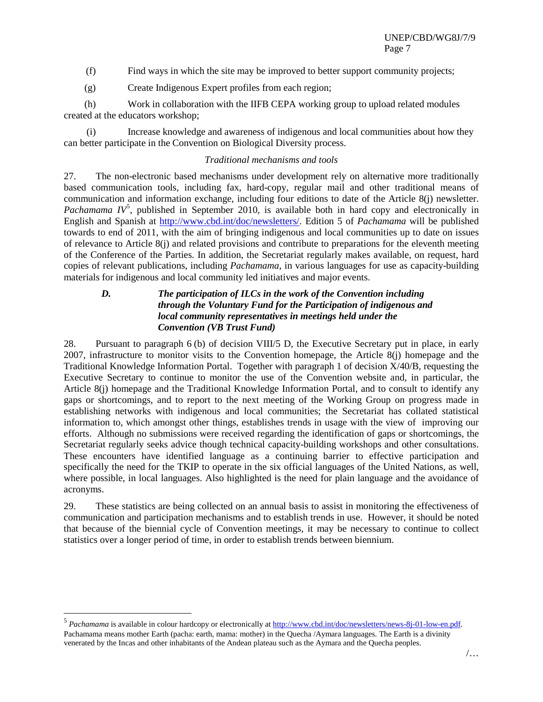(f) Find ways in which the site may be improved to better support community projects;

(g) Create Indigenous Expert profiles from each region;

(h) Work in collaboration with the IIFB CEPA working group to upload related modules created at the educators workshop;

(i) Increase knowledge and awareness of indigenous and local communities about how they can better participate in the Convention on Biological Diversity process.

## *Traditional mechanisms and tools*

27. The non-electronic based mechanisms under development rely on alternative more traditionally based communication tools, including fax, hard-copy, regular mail and other traditional means of communication and information exchange, including four editions to date of the Article 8(j) newsletter. Pachamama IV<sup>[5](#page-6-0)</sup>, published in September 2010, is available both in hard copy and electronically in English and Spanish at **http://www.cbd.int/doc/newsletters/**. Edition 5 of *Pachamama* will be published towards to end of 2011, with the aim of bringing indigenous and local communities up to date on issues of relevance to Article 8(j) and related provisions and contribute to preparations for the eleventh meeting of the Conference of the Parties. In addition, the Secretariat regularly makes available, on request, hard copies of relevant publications, including *Pachamama*, in various languages for use as capacity-building materials for indigenous and local community led initiatives and major events.

## *D. The participation of ILCs in the work of the Convention including through the Voluntary Fund for the Participation of indigenous and local community representatives in meetings held under the Convention (VB Trust Fund)*

28. Pursuant to paragraph 6 (b) of decision VIII/5 D, the Executive Secretary put in place, in early 2007, infrastructure to monitor visits to the Convention homepage, the Article 8(j) homepage and the Traditional Knowledge Information Portal. Together with paragraph 1 of decision X/40/B, requesting the Executive Secretary to continue to monitor the use of the Convention website and, in particular, the Article 8(j) homepage and the Traditional Knowledge Information Portal, and to consult to identify any gaps or shortcomings, and to report to the next meeting of the Working Group on progress made in establishing networks with indigenous and local communities; the Secretariat has collated statistical information to, which amongst other things, establishes trends in usage with the view of improving our efforts. Although no submissions were received regarding the identification of gaps or shortcomings, the Secretariat regularly seeks advice though technical capacity-building workshops and other consultations. These encounters have identified language as a continuing barrier to effective participation and specifically the need for the TKIP to operate in the six official languages of the United Nations, as well, where possible, in local languages. Also highlighted is the need for plain language and the avoidance of acronyms.

29. These statistics are being collected on an annual basis to assist in monitoring the effectiveness of communication and participation mechanisms and to establish trends in use. However, it should be noted that because of the biennial cycle of Convention meetings, it may be necessary to continue to collect statistics over a longer period of time, in order to establish trends between biennium.

<span id="page-6-0"></span> <sup>5</sup> *Pachamama* is available in colour hardcopy or electronically at [http://www.cbd.int/doc/newsletters/news-8j-01-low-en.pdf.](http://www.cbd.int/doc/newsletters/news-8j-01-low-en.pdf)  Pachamama means mother Earth (pacha: earth, mama: mother) in the Quecha /Aymara languages. The Earth is a divinity venerated by the Incas and other inhabitants of the Andean plateau such as the Aymara and the Quecha peoples.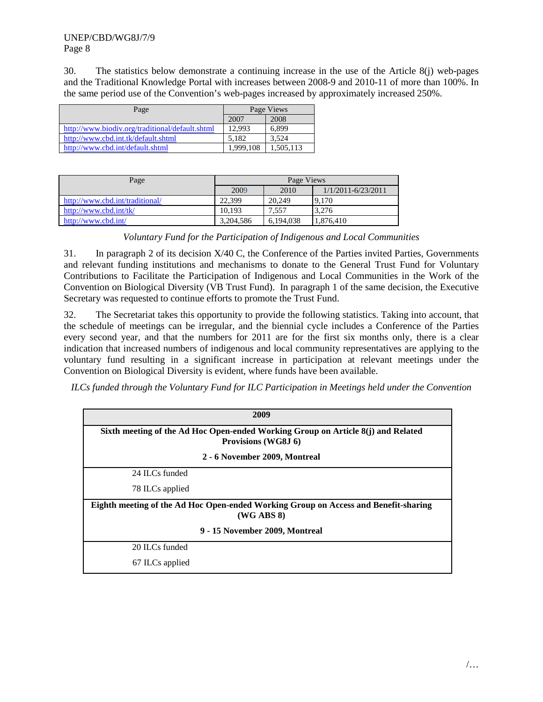30. The statistics below demonstrate a continuing increase in the use of the Article 8(j) web-pages and the Traditional Knowledge Portal with increases between 2008-9 and 2010-11 of more than 100%. In the same period use of the Convention's web-pages increased by approximately increased 250%.

| Page                                            | Page Views |           |
|-------------------------------------------------|------------|-----------|
|                                                 | 2007       | 2008      |
| http://www.biodiv.org/traditional/default.shtml | 12.993     | 6.899     |
| http://www.cbd.int.tk/default.shtml             | 5.182      | 3.524     |
| http://www.cbd.int/default.shtml                | 1.999.108  | 1,505,113 |

| Page                            | Page Views |           |                        |
|---------------------------------|------------|-----------|------------------------|
|                                 | 2009       | 2010      | $1/1/2011 - 6/23/2011$ |
| http://www.cbd.int/traditional/ | 22,399     | 20,249    | 9.170                  |
| http://www.cbd.int/tk/          | 10.193     | 7.557     | 3.276                  |
| http://www.cbd.int/             | 3,204,586  | 6.194.038 | 1,876,410              |

*Voluntary Fund for the Participation of Indigenous and Local Communities*

31. In paragraph 2 of its decision X/40 C, the Conference of the Parties invited Parties, Governments and relevant funding institutions and mechanisms to donate to the General Trust Fund for Voluntary Contributions to Facilitate the Participation of Indigenous and Local Communities in the Work of the Convention on Biological Diversity (VB Trust Fund). In paragraph 1 of the same decision, the Executive Secretary was requested to continue efforts to promote the Trust Fund.

32. The Secretariat takes this opportunity to provide the following statistics. Taking into account, that the schedule of meetings can be irregular, and the biennial cycle includes a Conference of the Parties every second year, and that the numbers for 2011 are for the first six months only, there is a clear indication that increased numbers of indigenous and local community representatives are applying to the voluntary fund resulting in a significant increase in participation at relevant meetings under the Convention on Biological Diversity is evident, where funds have been available.

*ILCs funded through the Voluntary Fund for ILC Participation in Meetings held under the Convention*

|                 | 2009                                                                                                    |
|-----------------|---------------------------------------------------------------------------------------------------------|
|                 | Sixth meeting of the Ad Hoc Open-ended Working Group on Article 8(j) and Related<br>Provisions (WG8J 6) |
|                 | 2 - 6 November 2009, Montreal                                                                           |
| 24 ILCs funded  |                                                                                                         |
| 78 ILCs applied |                                                                                                         |
|                 | Eighth meeting of the Ad Hoc Open-ended Working Group on Access and Benefit-sharing<br>$(WG$ ABS $8)$   |
|                 | 9 - 15 November 2009, Montreal                                                                          |
| 20 ILCs funded  |                                                                                                         |
| 67 ILCs applied |                                                                                                         |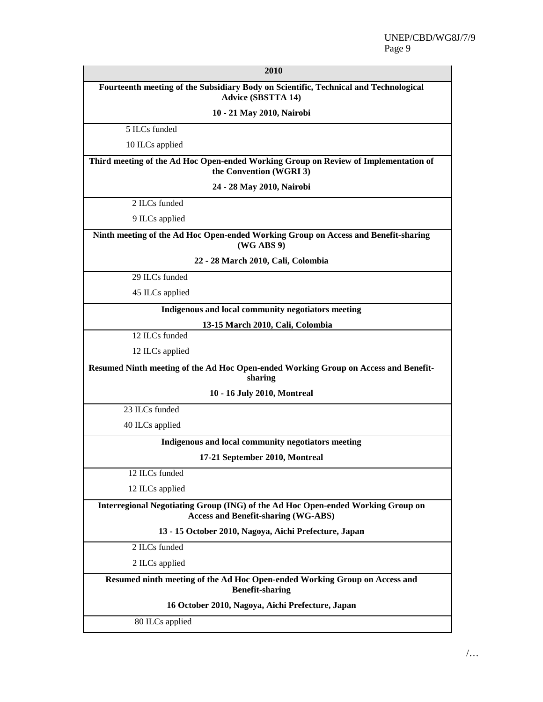| 2010                                                                                                                          |  |  |
|-------------------------------------------------------------------------------------------------------------------------------|--|--|
| Fourteenth meeting of the Subsidiary Body on Scientific, Technical and Technological<br><b>Advice (SBSTTA 14)</b>             |  |  |
| 10 - 21 May 2010, Nairobi                                                                                                     |  |  |
| 5 ILCs funded                                                                                                                 |  |  |
| 10 ILCs applied                                                                                                               |  |  |
| Third meeting of the Ad Hoc Open-ended Working Group on Review of Implementation of<br>the Convention (WGRI 3)                |  |  |
| 24 - 28 May 2010, Nairobi                                                                                                     |  |  |
| 2 ILCs funded                                                                                                                 |  |  |
| 9 ILCs applied                                                                                                                |  |  |
| Ninth meeting of the Ad Hoc Open-ended Working Group on Access and Benefit-sharing<br>(WG ABS 9)                              |  |  |
| 22 - 28 March 2010, Cali, Colombia                                                                                            |  |  |
| 29 ILCs funded                                                                                                                |  |  |
| 45 ILCs applied                                                                                                               |  |  |
| Indigenous and local community negotiators meeting                                                                            |  |  |
| 13-15 March 2010, Cali, Colombia                                                                                              |  |  |
| 12 ILCs funded                                                                                                                |  |  |
| 12 ILCs applied                                                                                                               |  |  |
| Resumed Ninth meeting of the Ad Hoc Open-ended Working Group on Access and Benefit-<br>sharing                                |  |  |
| 10 - 16 July 2010, Montreal                                                                                                   |  |  |
| 23 ILCs funded                                                                                                                |  |  |
| 40 ILCs applied                                                                                                               |  |  |
| Indigenous and local community negotiators meeting                                                                            |  |  |
| 17-21 September 2010, Montreal                                                                                                |  |  |
| 12 ILCs funded                                                                                                                |  |  |
| 12 ILCs applied                                                                                                               |  |  |
| Interregional Negotiating Group (ING) of the Ad Hoc Open-ended Working Group on<br><b>Access and Benefit-sharing (WG-ABS)</b> |  |  |
| 13 - 15 October 2010, Nagoya, Aichi Prefecture, Japan                                                                         |  |  |
| 2 ILCs funded                                                                                                                 |  |  |
| 2 ILCs applied                                                                                                                |  |  |
| Resumed ninth meeting of the Ad Hoc Open-ended Working Group on Access and<br><b>Benefit-sharing</b>                          |  |  |
| 16 October 2010, Nagoya, Aichi Prefecture, Japan                                                                              |  |  |
| 80 ILCs applied                                                                                                               |  |  |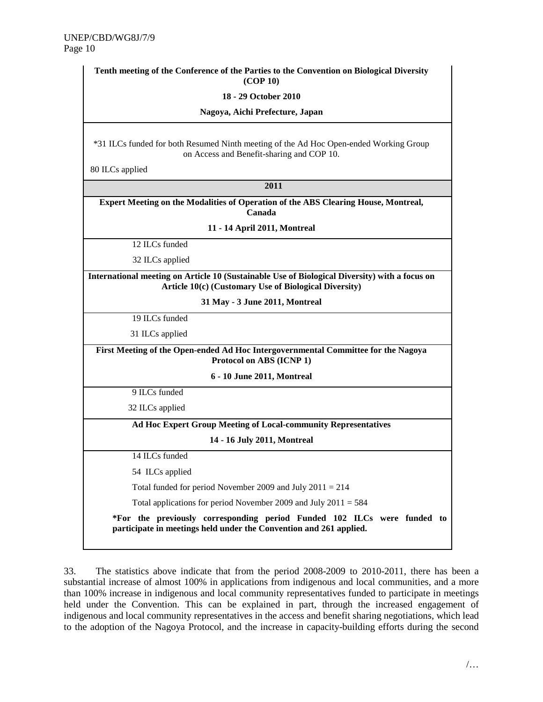| Tenth meeting of the Conference of the Parties to the Convention on Biological Diversity<br>(COP 10)                                                   |  |  |
|--------------------------------------------------------------------------------------------------------------------------------------------------------|--|--|
| 18 - 29 October 2010                                                                                                                                   |  |  |
| Nagoya, Aichi Prefecture, Japan                                                                                                                        |  |  |
| *31 ILCs funded for both Resumed Ninth meeting of the Ad Hoc Open-ended Working Group<br>on Access and Benefit-sharing and COP 10.                     |  |  |
| 80 ILCs applied                                                                                                                                        |  |  |
| 2011                                                                                                                                                   |  |  |
| <b>Expert Meeting on the Modalities of Operation of the ABS Clearing House, Montreal,</b><br>Canada                                                    |  |  |
| 11 - 14 April 2011, Montreal                                                                                                                           |  |  |
| 12 ILCs funded                                                                                                                                         |  |  |
| 32 ILCs applied                                                                                                                                        |  |  |
| International meeting on Article 10 (Sustainable Use of Biological Diversity) with a focus on<br>Article 10(c) (Customary Use of Biological Diversity) |  |  |
| 31 May - 3 June 2011, Montreal                                                                                                                         |  |  |
| 19 ILCs funded                                                                                                                                         |  |  |
| 31 ILCs applied                                                                                                                                        |  |  |
| First Meeting of the Open-ended Ad Hoc Intergovernmental Committee for the Nagoya<br>Protocol on ABS (ICNP 1)                                          |  |  |
| 6 - 10 June 2011, Montreal                                                                                                                             |  |  |
| 9 ILCs funded                                                                                                                                          |  |  |
| 32 ILCs applied                                                                                                                                        |  |  |
| Ad Hoc Expert Group Meeting of Local-community Representatives                                                                                         |  |  |
| 14 - 16 July 2011, Montreal                                                                                                                            |  |  |
| 14 ILCs funded                                                                                                                                         |  |  |
| 54 ILCs applied                                                                                                                                        |  |  |
| Total funded for period November 2009 and July $2011 = 214$                                                                                            |  |  |
| Total applications for period November 2009 and July $2011 = 584$                                                                                      |  |  |
| *For the previously corresponding period Funded 102 ILCs were funded to<br>participate in meetings held under the Convention and 261 applied.          |  |  |

33. The statistics above indicate that from the period 2008-2009 to 2010-2011, there has been a substantial increase of almost 100% in applications from indigenous and local communities, and a more than 100% increase in indigenous and local community representatives funded to participate in meetings held under the Convention. This can be explained in part, through the increased engagement of indigenous and local community representatives in the access and benefit sharing negotiations, which lead to the adoption of the Nagoya Protocol, and the increase in capacity-building efforts during the second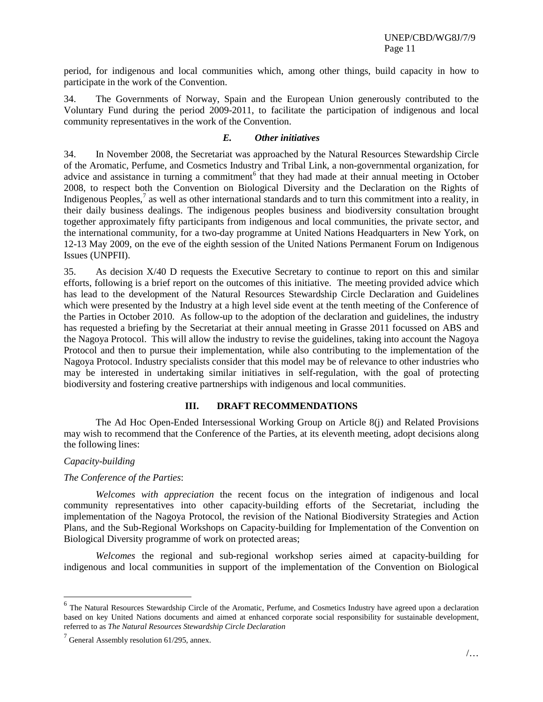period, for indigenous and local communities which, among other things, build capacity in how to participate in the work of the Convention.

34. The Governments of Norway, Spain and the European Union generously contributed to the Voluntary Fund during the period 2009-2011, to facilitate the participation of indigenous and local community representatives in the work of the Convention.

#### *E. Other initiatives*

34. In November 2008, the Secretariat was approached by the Natural Resources Stewardship Circle of the Aromatic, Perfume, and Cosmetics Industry and Tribal Link, a non-governmental organization, for advice and assistance in turning a commitment<sup>[6](#page-10-0)</sup> that they had made at their annual meeting in October 2008, to respect both the Convention on Biological Diversity and the Declaration on the Rights of Indigenous Peoples,<sup>[7](#page-10-1)</sup> as well as other international standards and to turn this commitment into a reality, in their daily business dealings. The indigenous peoples business and biodiversity consultation brought together approximately fifty participants from indigenous and local communities, the private sector, and the international community, for a two-day programme at United Nations Headquarters in New York, on 12-13 May 2009, on the eve of the eighth session of the United Nations Permanent Forum on Indigenous Issues (UNPFII).

35. As decision X/40 D requests the Executive Secretary to continue to report on this and similar efforts, following is a brief report on the outcomes of this initiative. The meeting provided advice which has lead to the development of the Natural Resources Stewardship Circle Declaration and Guidelines which were presented by the Industry at a high level side event at the tenth meeting of the Conference of the Parties in October 2010. As follow-up to the adoption of the declaration and guidelines, the industry has requested a briefing by the Secretariat at their annual meeting in Grasse 2011 focussed on ABS and the Nagoya Protocol. This will allow the industry to revise the guidelines, taking into account the Nagoya Protocol and then to pursue their implementation, while also contributing to the implementation of the Nagoya Protocol. Industry specialists consider that this model may be of relevance to other industries who may be interested in undertaking similar initiatives in self-regulation, with the goal of protecting biodiversity and fostering creative partnerships with indigenous and local communities.

#### **III. DRAFT RECOMMENDATIONS**

The Ad Hoc Open-Ended Intersessional Working Group on Article 8(j) and Related Provisions may wish to recommend that the Conference of the Parties, at its eleventh meeting, adopt decisions along the following lines:

#### *Capacity-building*

#### *The Conference of the Parties*:

*Welcomes with appreciation* the recent focus on the integration of indigenous and local community representatives into other capacity-building efforts of the Secretariat, including the implementation of the Nagoya Protocol, the revision of the National Biodiversity Strategies and Action Plans, and the Sub-Regional Workshops on Capacity-building for Implementation of the Convention on Biological Diversity programme of work on protected areas;

*Welcomes* the regional and sub-regional workshop series aimed at capacity-building for indigenous and local communities in support of the implementation of the Convention on Biological

<span id="page-10-0"></span> <sup>6</sup> The Natural Resources Stewardship Circle of the Aromatic, Perfume, and Cosmetics Industry have agreed upon a declaration based on key United Nations documents and aimed at enhanced corporate social responsibility for sustainable development, referred to as *The Natural Resources Stewardship Circle Declaration*

<span id="page-10-1"></span> $7$  General Assembly resolution 61/295, annex.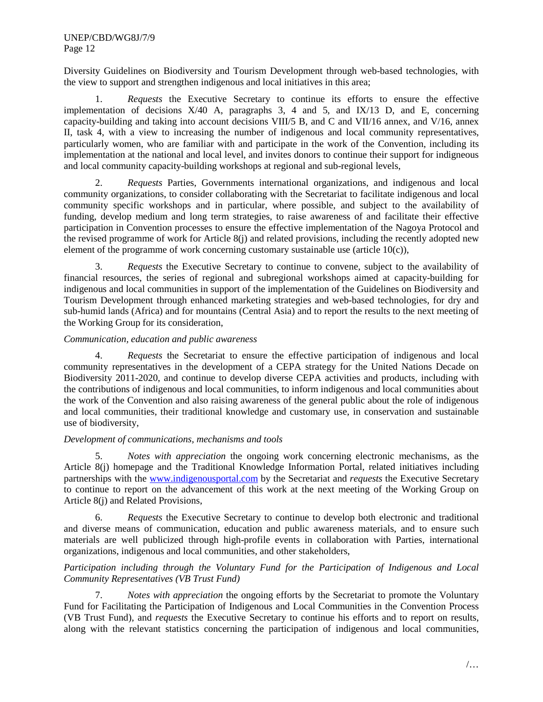Diversity Guidelines on Biodiversity and Tourism Development through web-based technologies, with the view to support and strengthen indigenous and local initiatives in this area;

1. *Requests* the Executive Secretary to continue its efforts to ensure the effective implementation of decisions  $X/40$  A, paragraphs 3, 4 and 5, and  $IX/13$  D, and E, concerning capacity-building and taking into account decisions VIII/5 B, and C and VII/16 annex, and V/16, annex II, task 4, with a view to increasing the number of indigenous and local community representatives, particularly women, who are familiar with and participate in the work of the Convention, including its implementation at the national and local level, and invites donors to continue their support for indigneous and local community capacity-building workshops at regional and sub-regional levels,

2. *Requests* Parties, Governments international organizations, and indigenous and local community organizations, to consider collaborating with the Secretariat to facilitate indigenous and local community specific workshops and in particular, where possible, and subject to the availability of funding, develop medium and long term strategies, to raise awareness of and facilitate their effective participation in Convention processes to ensure the effective implementation of the Nagoya Protocol and the revised programme of work for Article 8(j) and related provisions, including the recently adopted new element of the programme of work concerning customary sustainable use (article  $10(c)$ ),

3. *Requests* the Executive Secretary to continue to convene, subject to the availability of financial resources, the series of regional and subregional workshops aimed at capacity-building for indigenous and local communities in support of the implementation of the Guidelines on Biodiversity and Tourism Development through enhanced marketing strategies and web-based technologies, for dry and sub-humid lands (Africa) and for mountains (Central Asia) and to report the results to the next meeting of the Working Group for its consideration,

#### *Communication, education and public awareness*

4. *Requests* the Secretariat to ensure the effective participation of indigenous and local community representatives in the development of a CEPA strategy for the United Nations Decade on Biodiversity 2011-2020, and continue to develop diverse CEPA activities and products, including with the contributions of indigenous and local communities, to inform indigenous and local communities about the work of the Convention and also raising awareness of the general public about the role of indigenous and local communities, their traditional knowledge and customary use, in conservation and sustainable use of biodiversity,

#### *Development of communications, mechanisms and tools*

5. *Notes with appreciation* the ongoing work concerning electronic mechanisms, as the Article 8(j) homepage and the Traditional Knowledge Information Portal, related initiatives including partnerships with the [www.indigenousportal.com](http://www.indigenousportal.com/) by the Secretariat and *requests* the Executive Secretary to continue to report on the advancement of this work at the next meeting of the Working Group on Article 8(j) and Related Provisions,

6. *Requests* the Executive Secretary to continue to develop both electronic and traditional and diverse means of communication, education and public awareness materials, and to ensure such materials are well publicized through high-profile events in collaboration with Parties, international organizations, indigenous and local communities, and other stakeholders,

#### *Participation including through the Voluntary Fund for the Participation of Indigenous and Local Community Representatives (VB Trust Fund)*

7. *Notes with appreciation* the ongoing efforts by the Secretariat to promote the Voluntary Fund for Facilitating the Participation of Indigenous and Local Communities in the Convention Process (VB Trust Fund), and *requests* the Executive Secretary to continue his efforts and to report on results, along with the relevant statistics concerning the participation of indigenous and local communities,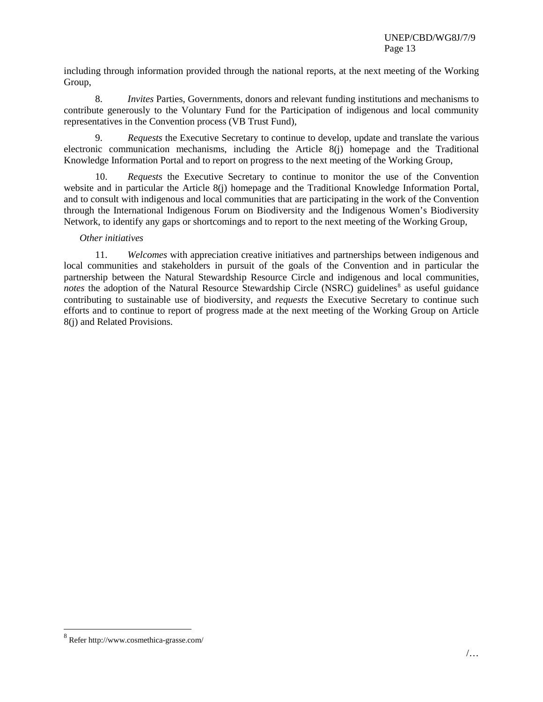including through information provided through the national reports, at the next meeting of the Working Group,

8. *Invites* Parties, Governments, donors and relevant funding institutions and mechanisms to contribute generously to the Voluntary Fund for the Participation of indigenous and local community representatives in the Convention process (VB Trust Fund),

9. *Requests* the Executive Secretary to continue to develop, update and translate the various electronic communication mechanisms, including the Article 8(j) homepage and the Traditional Knowledge Information Portal and to report on progress to the next meeting of the Working Group,

10. *Requests* the Executive Secretary to continue to monitor the use of the Convention website and in particular the Article 8(j) homepage and the Traditional Knowledge Information Portal, and to consult with indigenous and local communities that are participating in the work of the Convention through the International Indigenous Forum on Biodiversity and the Indigenous Women's Biodiversity Network, to identify any gaps or shortcomings and to report to the next meeting of the Working Group,

#### *Other initiatives*

11. *Welcomes* with appreciation creative initiatives and partnerships between indigenous and local communities and stakeholders in pursuit of the goals of the Convention and in particular the partnership between the Natural Stewardship Resource Circle and indigenous and local communities, *notes* the adoption of the Natural Resource Stewardship Circle (NSRC) guidelines<sup>[8](#page-12-0)</sup> as useful guidance contributing to sustainable use of biodiversity, and *requests* the Executive Secretary to continue such efforts and to continue to report of progress made at the next meeting of the Working Group on Article 8(j) and Related Provisions.

<span id="page-12-0"></span> <sup>8</sup> Refer http://www.cosmethica-grasse.com/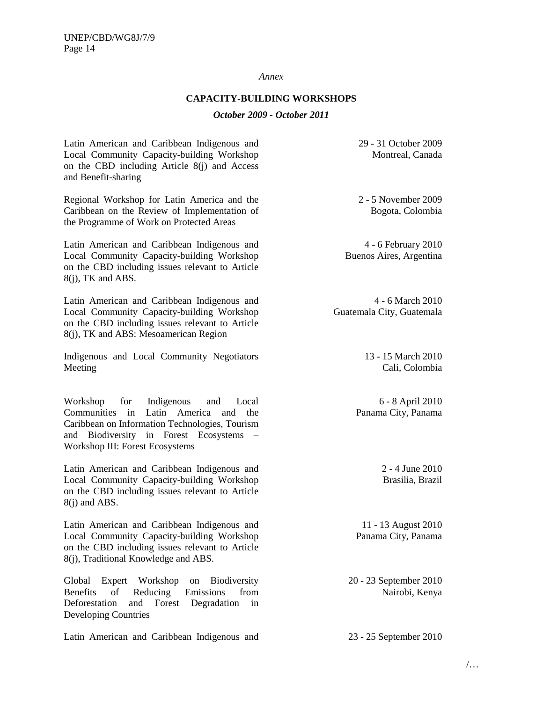#### *Annex*

#### **CAPACITY-BUILDING WORKSHOPS**

#### *October 2009 - October 2011*

Latin American and Caribbean Indigenous and Local Community Capacity-building Workshop on the CBD including Article 8(j) and Access and Benefit-sharing

Regional Workshop for Latin America and the Caribbean on the Review of Implementation of the Programme of Work on Protected Areas

Latin American and Caribbean Indigenous and Local Community Capacity-building Workshop on the CBD including issues relevant to Article 8(j), TK and ABS.

Latin American and Caribbean Indigenous and Local Community Capacity-building Workshop on the CBD including issues relevant to Article 8(j), TK and ABS: Mesoamerican Region

Indigenous and Local Community Negotiators Meeting

Workshop for Indigenous and Local Communities in Latin America and the Caribbean on Information Technologies, Tourism and Biodiversity in Forest Ecosystems – Workshop III: Forest Ecosystems

Latin American and Caribbean Indigenous and Local Community Capacity-building Workshop on the CBD including issues relevant to Article 8(j) and ABS.

Latin American and Caribbean Indigenous and Local Community Capacity-building Workshop on the CBD including issues relevant to Article 8(j), Traditional Knowledge and ABS.

Global Expert Workshop on Biodiversity Benefits of Reducing Emissions from Deforestation and Forest Degradation in Developing Countries

Latin American and Caribbean Indigenous and 23 - 25 September 2010

29 - 31 October 2009 Montreal, Canada

2 - 5 November 2009 Bogota, Colombia

4 - 6 February 2010 Buenos Aires, Argentina

4 - 6 March 2010 Guatemala City, Guatemala

> 13 - 15 March 2010 Cali, Colombia

6 - 8 April 2010 Panama City, Panama

> 2 - 4 June 2010 Brasilia, Brazil

11 - 13 August 2010 Panama City, Panama

20 - 23 September 2010 Nairobi, Kenya